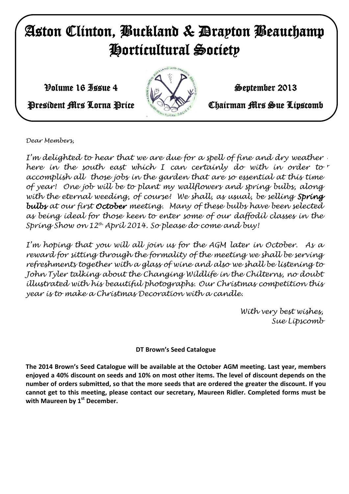## Aston Clinton, Buckland & Drayton Beauchamp Horticultural Society

 $\mathcal{V}$ olume 16 Issue 4  $\mathcal{V}$  September 2013



President Mrs Lorna Price **Chairman Mrs Sue Lipscomb** 

*Dear Members,*

*With very best wishes, I'm delighted to hear that we are due for a spell of fine and dry weather Sue Lipscomb here in the south east which I can certainly do with in order to accomplish all those jobs in the garden that are so essential at this time of year! One job will be to plant my wallflowers and spring bulbs, along with the eternal weeding, of course! We shall, as usual, be selling Spring bulbs at our first October meeting. Many of these bulbs have been selected as being ideal for those keen to enter some of our daffodil classes in the Spring Show on 12th April 2014. So please do come and buy!*

*I'm hoping that you will all join us for the AGM later in October. As a reward for sitting through the formality of the meeting we shall be serving refreshments together with a glass of wine and also we shall be listening to John Tyler talking about the Changing Wildlife in the Chilterns, no doubt illustrated with his beautiful photographs. Our Christmas competition this year is to make a Christmas Decoration with a candle.*

> *With very best wishes, Sue Lipscomb*

## **DT Brown's Seed Catalogue**

**The 2014 Brown's Seed Catalogue will be available at the October AGM meeting. Last year, members enjoyed a 40% discount on seeds and 10% on most other items. The level of discount depends on the number of orders submitted, so that the more seeds that are ordered the greater the discount. If you cannot get to this meeting, please contact our secretary, Maureen Ridler. Completed forms must be with Maureen by 1st December.**